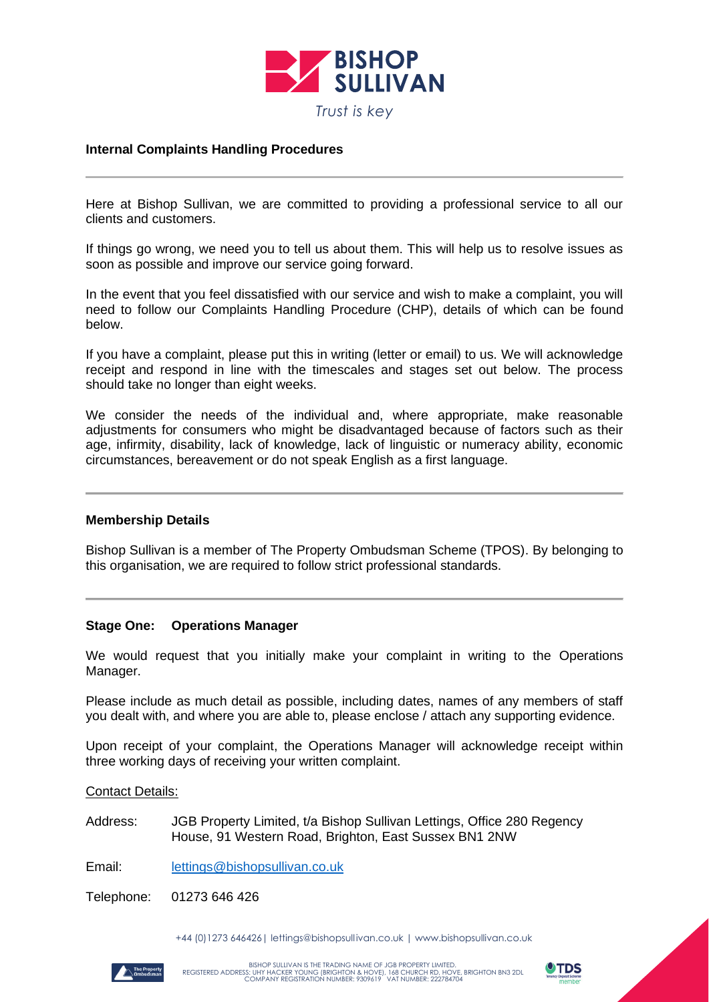

# **Internal Complaints Handling Procedures**

Here at Bishop Sullivan, we are committed to providing a professional service to all our clients and customers.

If things go wrong, we need you to tell us about them. This will help us to resolve issues as soon as possible and improve our service going forward.

In the event that you feel dissatisfied with our service and wish to make a complaint, you will need to follow our Complaints Handling Procedure (CHP), details of which can be found below.

If you have a complaint, please put this in writing (letter or email) to us. We will acknowledge receipt and respond in line with the timescales and stages set out below. The process should take no longer than eight weeks.

We consider the needs of the individual and, where appropriate, make reasonable adjustments for consumers who might be disadvantaged because of factors such as their age, infirmity, disability, lack of knowledge, lack of linguistic or numeracy ability, economic circumstances, bereavement or do not speak English as a first language.

### **Membership Details**

Bishop Sullivan is a member of The Property Ombudsman Scheme (TPOS). By belonging to this organisation, we are required to follow strict professional standards.

### **Stage One: Operations Manager**

We would request that you initially make your complaint in writing to the Operations Manager.

Please include as much detail as possible, including dates, names of any members of staff you dealt with, and where you are able to, please enclose / attach any supporting evidence.

Upon receipt of your complaint, the Operations Manager will acknowledge receipt within three working days of receiving your written complaint.

Contact Details:

Address: JGB Property Limited, t/a Bishop Sullivan Lettings, Office 280 Regency House, 91 Western Road, Brighton, East Sussex BN1 2NW

Email: [lettings@bishopsullivan.co.uk](mailto:lettings@bishopsullivan.co.uk)

Telephone: 01273 646 426

+44 (0)1273 646426| lettings@bishopsull ivan.co.uk | www.bishopsullivan.co.uk